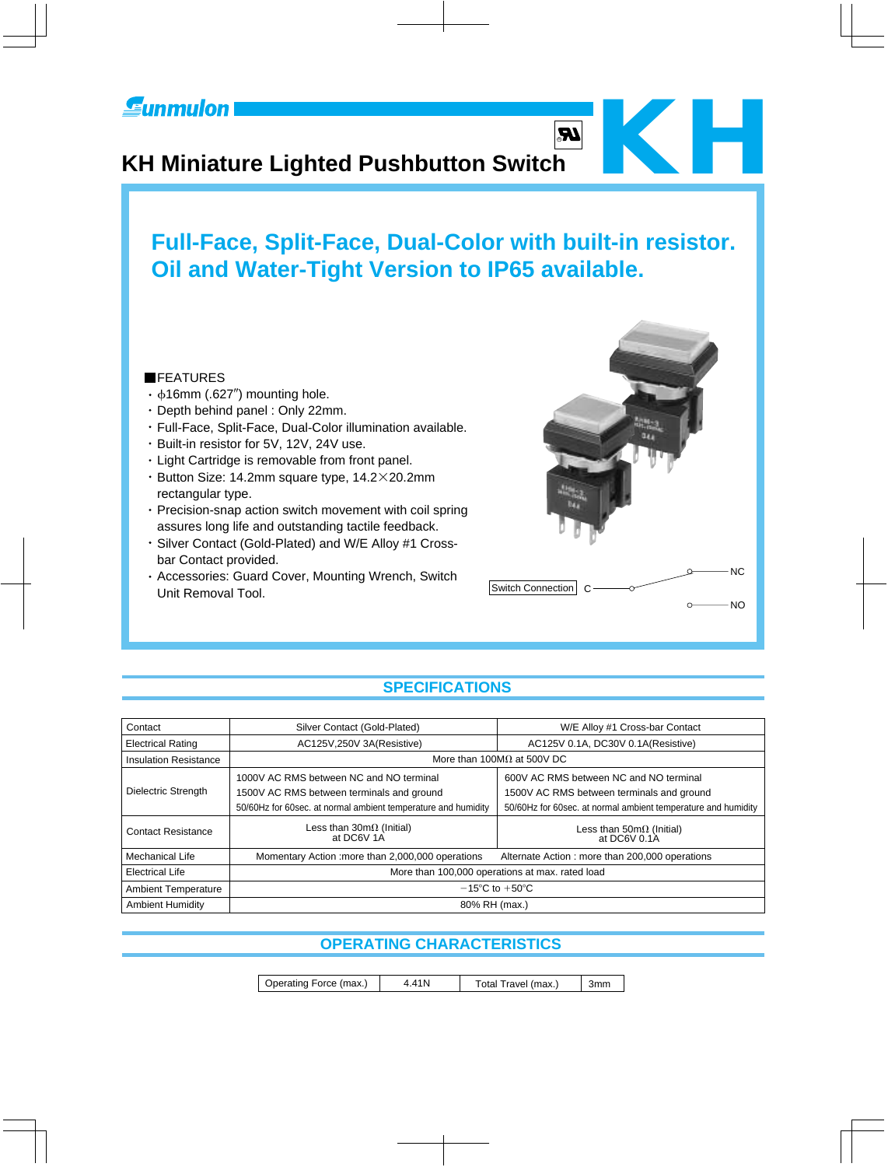# **KH Miniature Lighted Pushbutton Switch KH**

# **Full-Face, Split-Face, Dual-Color with built-in resistor. Oil and Water-Tight Version to IP65 available.**

#### **FEATURES**

- $\cdot$   $\phi$ 16mm (.627") mounting hole.
- Depth behind panel : Only 22mm.
- Full-Face, Split-Face, Dual-Color illumination available.
- Built-in resistor for 5V, 12V, 24V use.
- Light Cartridge is removable from front panel.
- $\cdot$  Button Size: 14.2mm square type, 14.2×20.2mm rectangular type.
- Precision-snap action switch movement with coil spring assures long life and outstanding tactile feedback.
- Silver Contact (Gold-Plated) and W/E Alloy #1 Cross bar Contact provided.
- Accessories: Guard Cover, Mounting Wrench, Switch Unit Removal Tool.



 $L_{\rm B}$ 

#### **SPECIFICATIONS**

| Contact                      | Silver Contact (Gold-Plated)                                  | W/E Alloy #1 Cross-bar Contact                                |  |  |  |  |  |  |
|------------------------------|---------------------------------------------------------------|---------------------------------------------------------------|--|--|--|--|--|--|
| <b>Electrical Rating</b>     | AC125V,250V 3A(Resistive)                                     | AC125V 0.1A, DC30V 0.1A(Resistive)                            |  |  |  |  |  |  |
| <b>Insulation Resistance</b> | More than 100M $\Omega$ at 500V DC                            |                                                               |  |  |  |  |  |  |
|                              | 1000V AC RMS between NC and NO terminal                       | 600V AC RMS between NC and NO terminal                        |  |  |  |  |  |  |
| <b>Dielectric Strength</b>   | 1500V AC RMS between terminals and ground                     | 1500V AC RMS between terminals and ground                     |  |  |  |  |  |  |
|                              | 50/60Hz for 60sec. at normal ambient temperature and humidity | 50/60Hz for 60sec. at normal ambient temperature and humidity |  |  |  |  |  |  |
| <b>Contact Resistance</b>    | Less than $30m\Omega$ (Initial)<br>at DC6V 1A                 | Less than $50 \text{m}\Omega$ (Initial)<br>at DC6V 0.1A       |  |  |  |  |  |  |
| Mechanical Life              | Momentary Action : more than 2,000,000 operations             | Alternate Action: more than 200,000 operations                |  |  |  |  |  |  |
| <b>Electrical Life</b>       | More than 100,000 operations at max. rated load               |                                                               |  |  |  |  |  |  |
| <b>Ambient Temperature</b>   | $-15^{\circ}$ C to $+50^{\circ}$ C                            |                                                               |  |  |  |  |  |  |
| <b>Ambient Humidity</b>      | 80% RH (max.)                                                 |                                                               |  |  |  |  |  |  |

#### **OPERATING CHARACTERISTICS**

| Operating Force (max.) | 4.41 N | Total Travel (max.) |  |
|------------------------|--------|---------------------|--|
|                        |        |                     |  |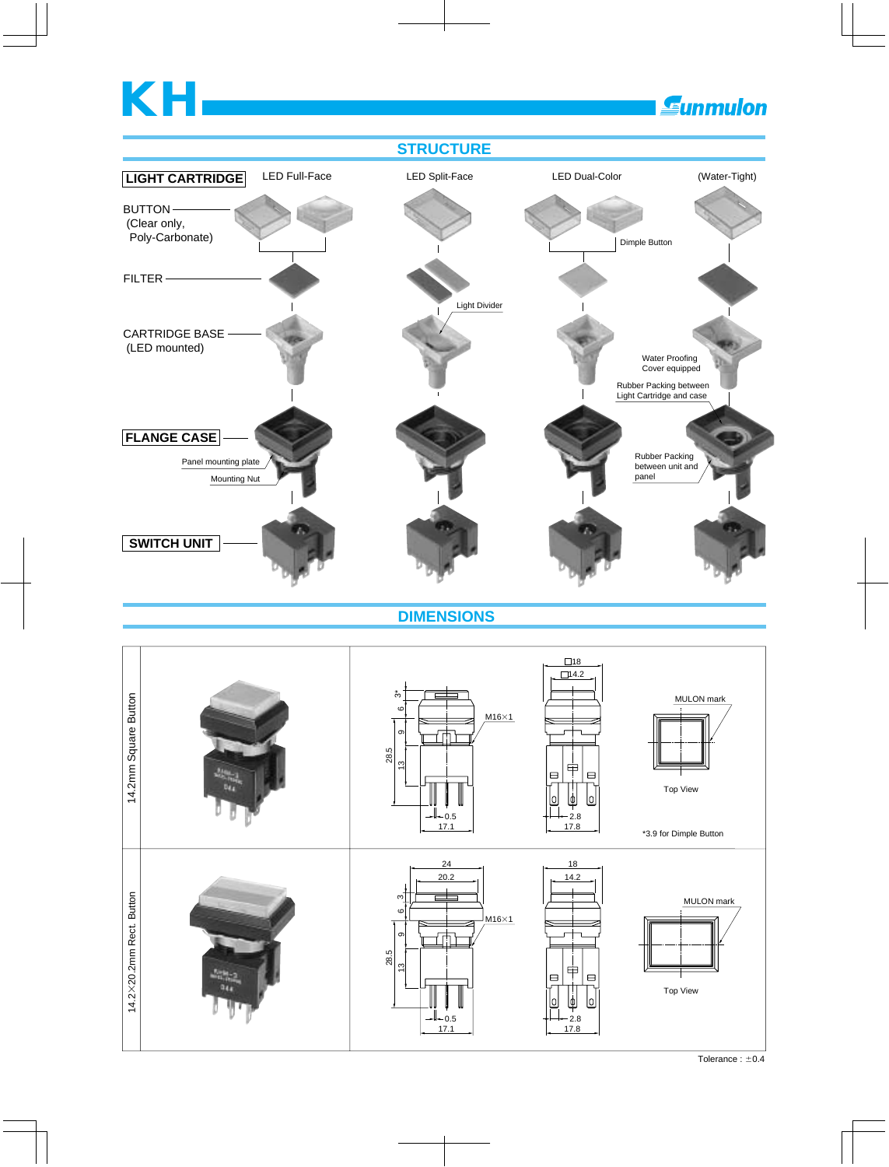# **KH**

# **Eunmulon**

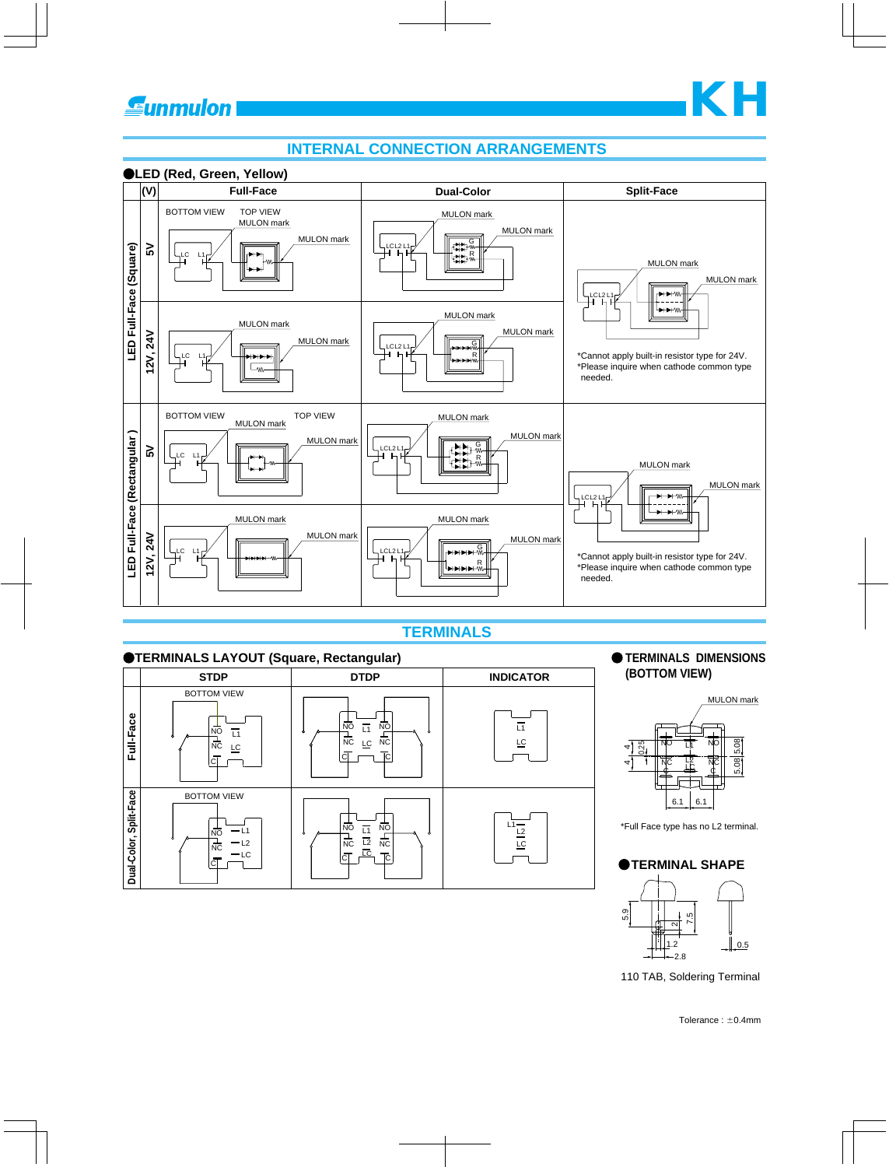

#### **INTERNAL CONNECTION ARRANGEMENTS**

#### **TERMINALS**



#### **TERMINALS DIMENSIONS (BOTTOM VIEW)**



\*Full Face type has no L2 terminal.





110 TAB, Soldering Terminal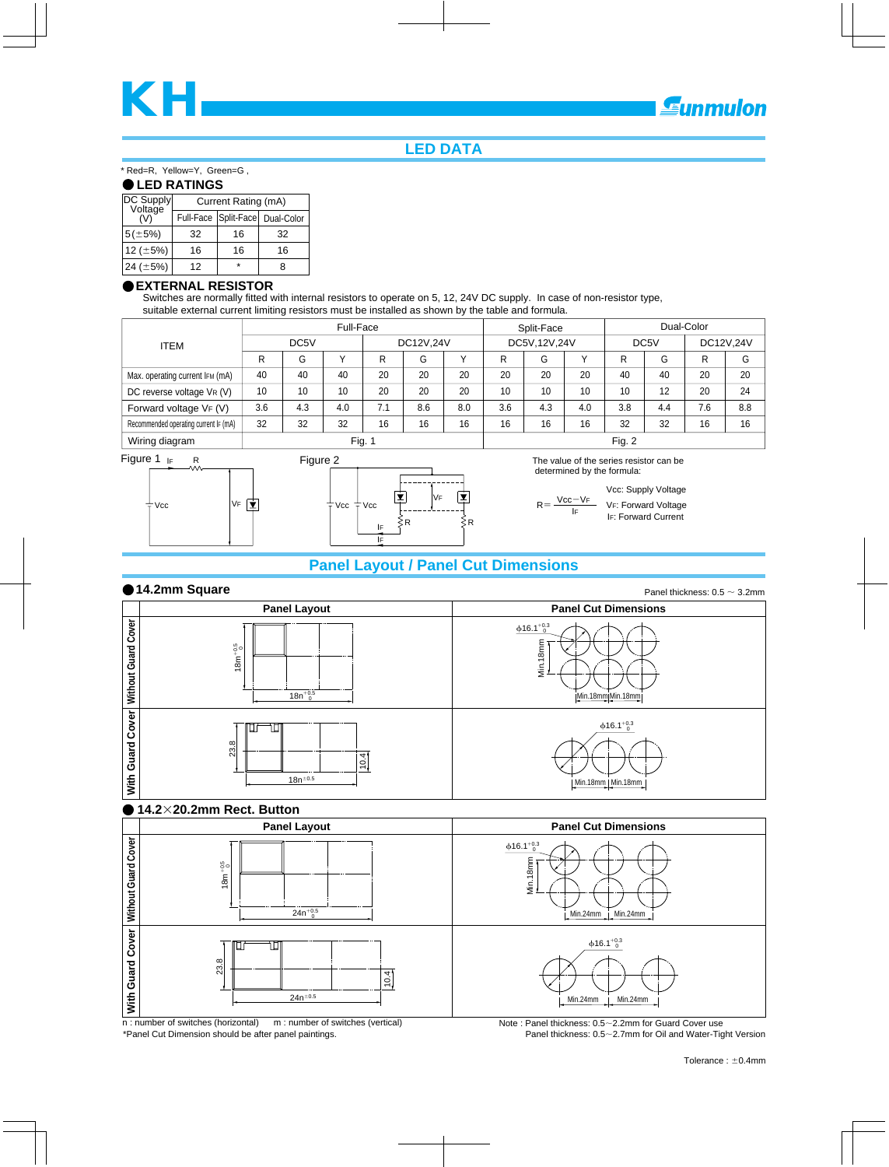**LED DATA**

\* Red=R, Yellow=Y, Green=G ,

#### **LED RATINGS**

| DC Supply<br>Voltage | Current Rating (mA) |    |                                 |  |  |  |  |
|----------------------|---------------------|----|---------------------------------|--|--|--|--|
|                      |                     |    | Full-Face Split-Face Dual-Color |  |  |  |  |
| $5(\pm 5\%)$         | 32                  | 16 | 32                              |  |  |  |  |
| 12 ( $\pm$ 5%)       | 16                  | 16 | 16                              |  |  |  |  |
| 24 ( $\pm$ 5%)       | 12                  | ÷  | R                               |  |  |  |  |

#### **EXTERNAL RESISTOR**

Switches are normally fitted with internal resistors to operate on 5, 12, 24V DC supply. In case of non-resistor type, suitable external current limiting resistors must be installed as shown by the table and formula.

|                                       | Full-Face         |     |              |           |     | Split-Face   |     |     | Dual-Color        |     |           |     |     |
|---------------------------------------|-------------------|-----|--------------|-----------|-----|--------------|-----|-----|-------------------|-----|-----------|-----|-----|
| <b>ITEM</b>                           | DC <sub>5</sub> V |     |              | DC12V,24V |     | DC5V,12V,24V |     |     | DC <sub>5</sub> V |     | DC12V,24V |     |     |
|                                       | R                 | G   | $\mathbf{v}$ | R         | G   | $\mathbf{v}$ | R   | G   | $\mathbf{v}$      | R   | G         | R   | G   |
| Max. operating current IFM (mA)       | 40                | 40  | 40           | 20        | 20  | 20           | 20  | 20  | 20                | 40  | 40        | 20  | 20  |
| DC reverse voltage VR (V)             | 10                | 10  | 10           | 20        | 20  | 20           | 10  | 10  | 10                | 10  | 12        | 20  | 24  |
| Forward voltage VF (V)                | 3.6               | 4.3 | 4.0          | 7.1       | 8.6 | 8.0          | 3.6 | 4.3 | 4.0               | 3.8 | 4.4       | 7.6 | 8.8 |
| Recommended operating current IF (mA) | 32                | 32  | 32           | 16        | 16  | 16           | 16  | 16  | 16                | 32  | 32        | 16  | 16  |
| Wiring diagram                        | Fig. 1            |     |              |           |     | Fig. 2       |     |     |                   |     |           |     |     |







The value of the series resistor can be determined by the formula:

 Vcc: Supply Voltage IF: Forward Current VF: Forward Voltage  $R = \frac{Vcc - VF}{Vc}$ IF

#### **Panel Layout / Panel Cut Dimensions**



 $n:$  number of switches (horizontal)  $m:$  number of switches (vertical) \*Panel Cut Dimension should be after panel paintings.

Note : Panel thickness: 0.5~2.2mm for Guard Cover use Panel thickness: 0.5~2.7mm for Oil and Water-Tight Version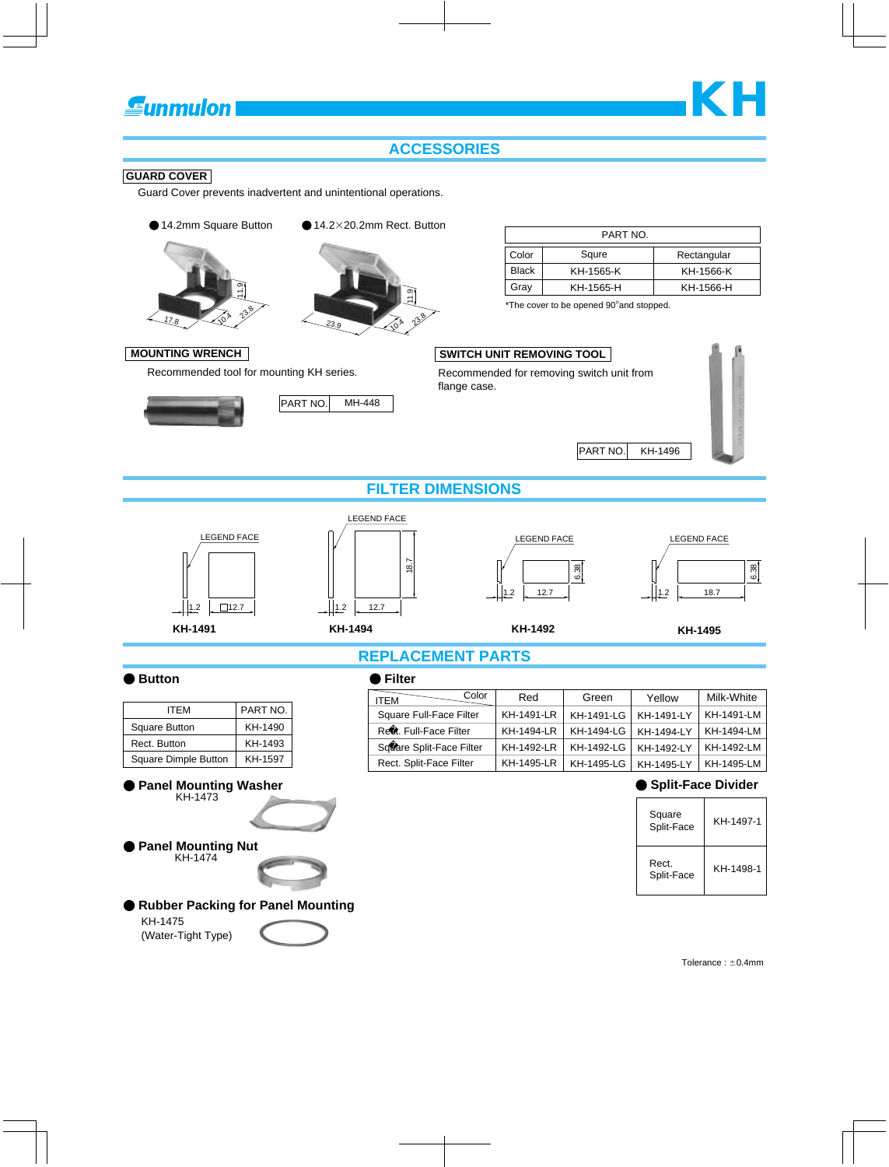# **Gunmulon**

#### **ACCESSORIES**

#### **GUARD COVER**

Guard Cover prevents inadvertent and unintentional operations.

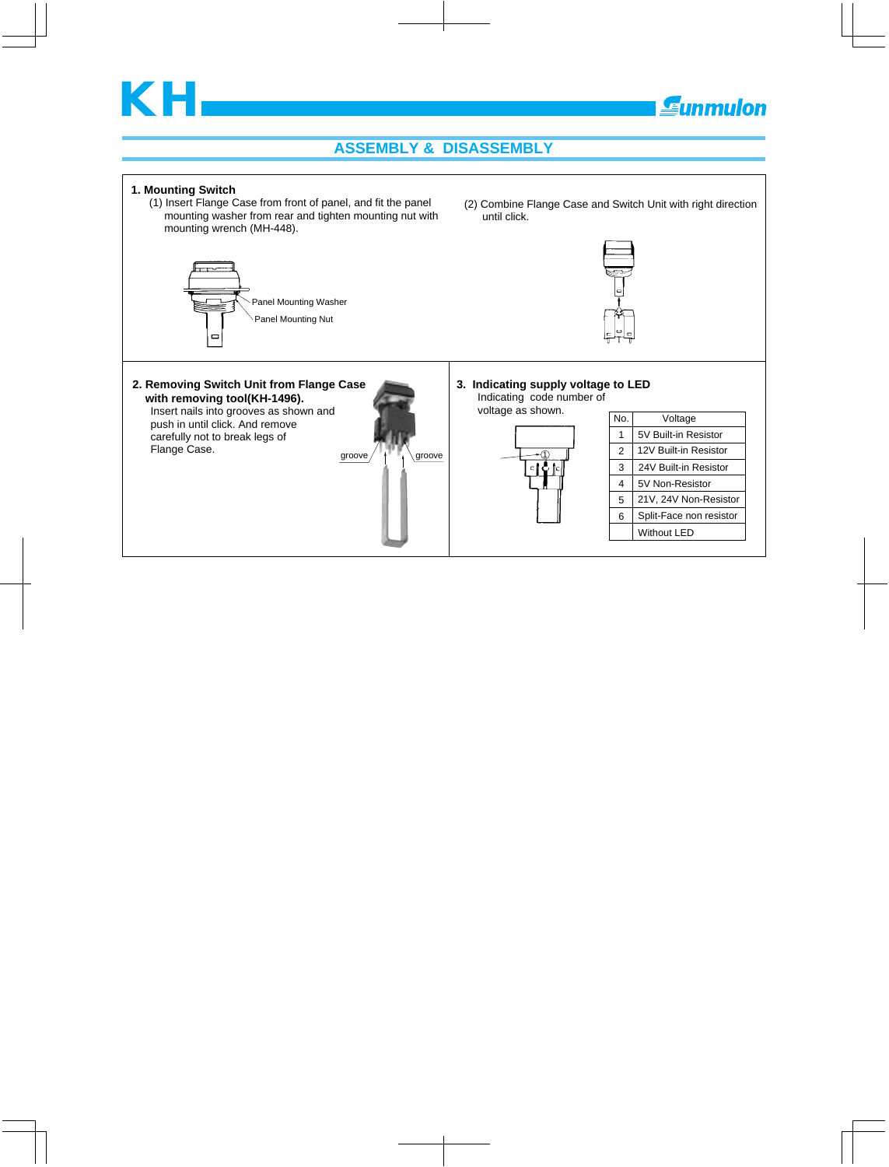

## **Gunmulon**

#### **ASSEMBLY & DISASSEMBLY**

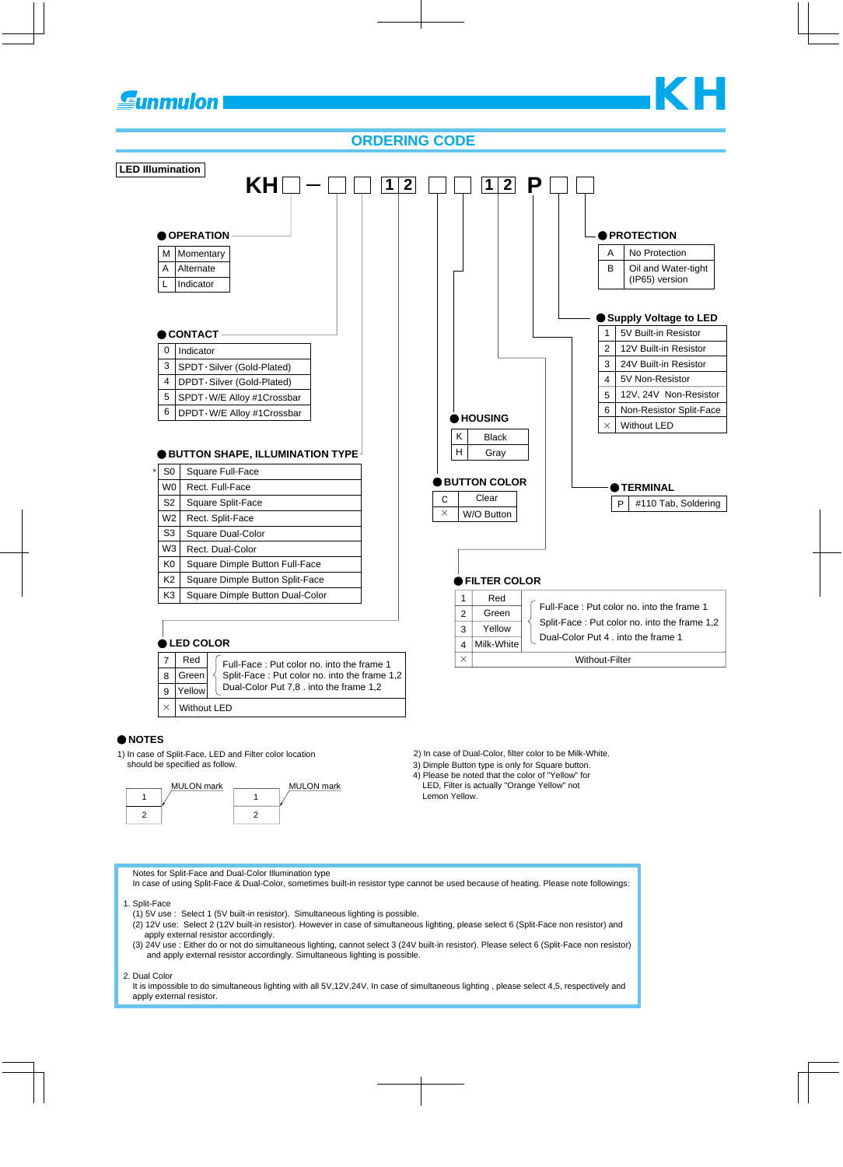### **Gunmulon**

#### **ORDERING CODE**



- (1) 5V use : Select 1 (5V built-in resistor). Simultaneous lighting is possible.
- (2) 12V use: Select 2 (12V built-in resistor). However in case of simultaneous lighting, please select 6 (Split-Face non resistor) and apply external resistor accordingly.
- (3) 24V use : Either do or not do simultaneous lighting, cannot select 3 (24V built-in resistor). Please select 6 (Split-Face non resistor) and apply external resistor accordingly. Simultaneous lighting is possible.
- 2. Dual Color

 It is impossible to do simultaneous lighting with all 5V,12V,24V. In case of simultaneous lighting , please select 4,5, respectively and apply external resistor.